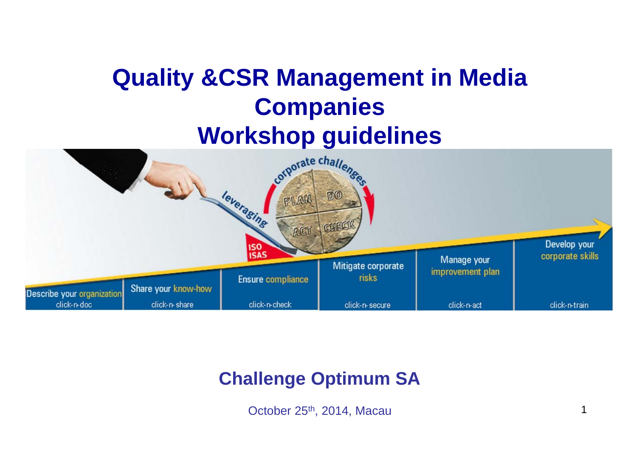# **Quality &CSR Management in Media Companies**



### **Challenge Optimum SA**

October 25<sup>th</sup>, 2014, Macau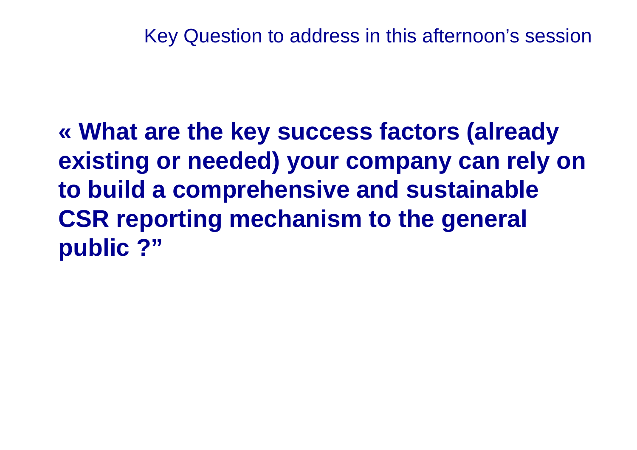Key Question to address in this afternoon's session

**« What are the key success factors (already existing or needed) your company can rely on to build a comprehensive and sustainable CSR reporting mechanism to the general public ?"**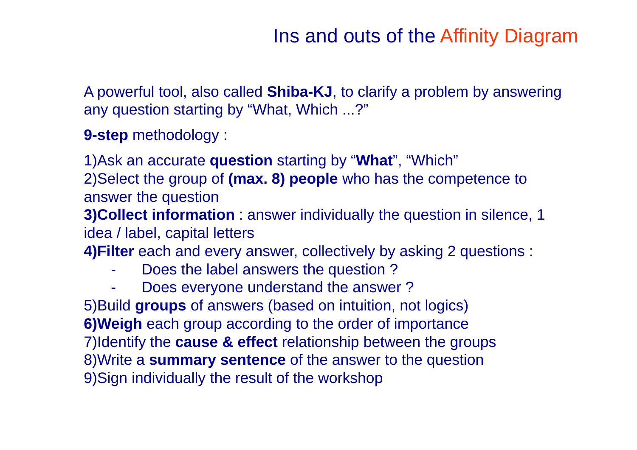## Ins and outs of the Affinity Diagram

A powerful tool, also called **Shiba-KJ**, to clarify a problem by answering any question starting by "What, Which ...?"

**9-step** methodology :

1)Ask an accurate **question** starting by "**What**", "Which"

2)Select the group of **(max. 8) people** who has the competence to answer the question

**3)Collect information** : answer individually the question in silence, 1 idea / label, capital letters

**4)Filter** each and every answer, collectively by asking 2 questions :

- -Does the label answers the question ?
- -Does everyone understand the answer ?

5)Build **groups** of answers (based on intuition, not logics) **6)Weigh** each group according to the order of importance 7)Identify the **cause & effect** relationship between the groups 8)Write a **summary sentence** of the answer to the question 9)Sign individually the result of the workshop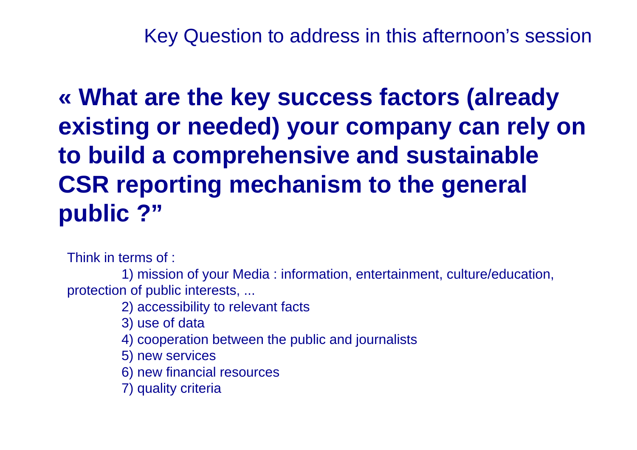Key Question to address in this afternoon's session

**« What are the key success factors (already existing or needed) your company can rely on to build a comprehensive and sustainable CSR reporting mechanism to the general public ?"**

Think in terms of :

1) mission of your Media : information, entertainment, culture/education, protection of public interests, ...

2) accessibility to relevant facts

3) use of data

4) cooperation between the public and journalists

5) new services

6) new financial resources

7) quality criteria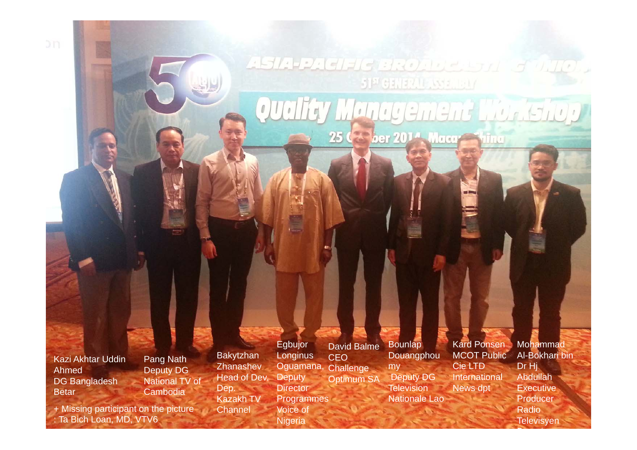Kazi Akhtar Uddin AhmedDG Bangladesh Betar

Pang Nath Deputy DG National TV of **Cambodia** 

+ Missing participant on the picture : Ta Bich Loan, MD, VTV6

Bakytzhan **Zhanashev** Head of Dev. Dep. Kazakh TV **Channel** Egbujor **Longinus** Oguamana, **Deputy Director** Programmes Voice of

Nigeria

Bounlap David BalmeCEO **Challenge** Optimum SA

**Douangphou** my Deputy DG **Television** Nationale Lao

ASIA PACIFIC BROADERS AT STATE

Quality Management World.

51ª GENERAL ASSEMBLY

25 College 2014, Macar Shine

Kard Ponsen MCOT Public Cie LTDInternational News dpt

Mohammad Al-Bokhari bin Dr Hj Abdullah Executive Producer Radio **Televisyen** 

B i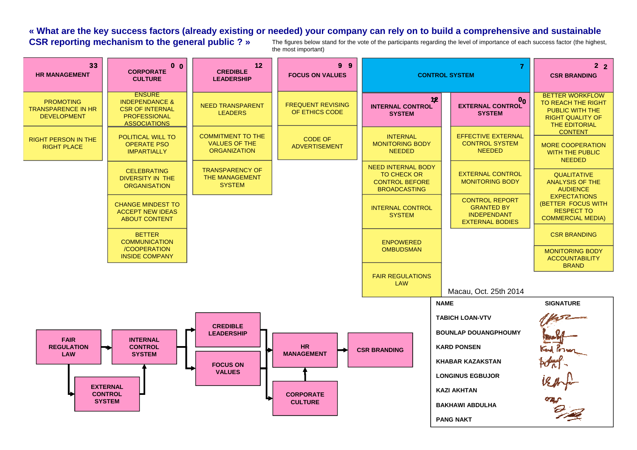#### **« What are the key success factors (already existing or needed) your company can rely on to build a comprehensive and sustainable CSR reporting mechanism to the general public ? »** The figures below stand for the vote of the participants regarding the level of importance of each success factor (the highest,